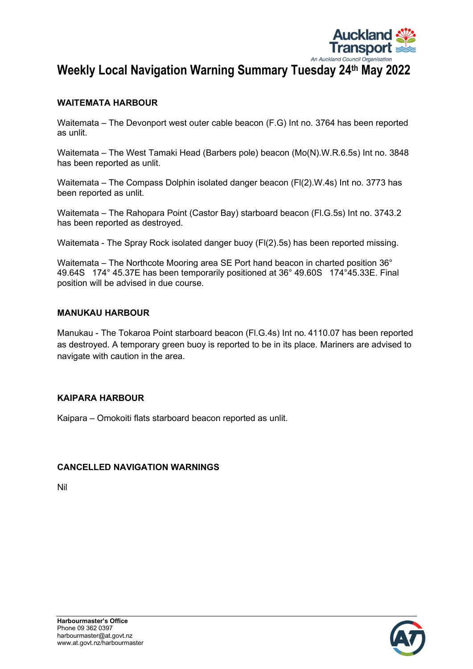

# Weekly Local Navigation Warning Summary Tuesday 24th May 2022

# WAITEMATA HARBOUR

Waitemata – The Devonport west outer cable beacon (F.G) Int no. 3764 has been reported as unlit.

Waitemata – The West Tamaki Head (Barbers pole) beacon (Mo(N).W.R.6.5s) Int no. 3848 has been reported as unlit.

Waitemata – The Compass Dolphin isolated danger beacon (Fl(2).W.4s) Int no. 3773 has been reported as unlit.

Waitemata – The Rahopara Point (Castor Bay) starboard beacon (Fl.G.5s) Int no. 3743.2 has been reported as destroyed.

Waitemata - The Spray Rock isolated danger buoy (Fl(2).5s) has been reported missing.

Waitemata – The Northcote Mooring area SE Port hand beacon in charted position 36° 49.64S 174° 45.37E has been temporarily positioned at 36° 49.60S 174°45.33E. Final position will be advised in due course.

#### MANUKAU HARBOUR

Manukau - The Tokaroa Point starboard beacon (Fl.G.4s) Int no. 4110.07 has been reported as destroyed. A temporary green buoy is reported to be in its place. Mariners are advised to navigate with caution in the area.

## KAIPARA HARBOUR

Kaipara – Omokoiti flats starboard beacon reported as unlit.

## CANCELLED NAVIGATION WARNINGS

Nil